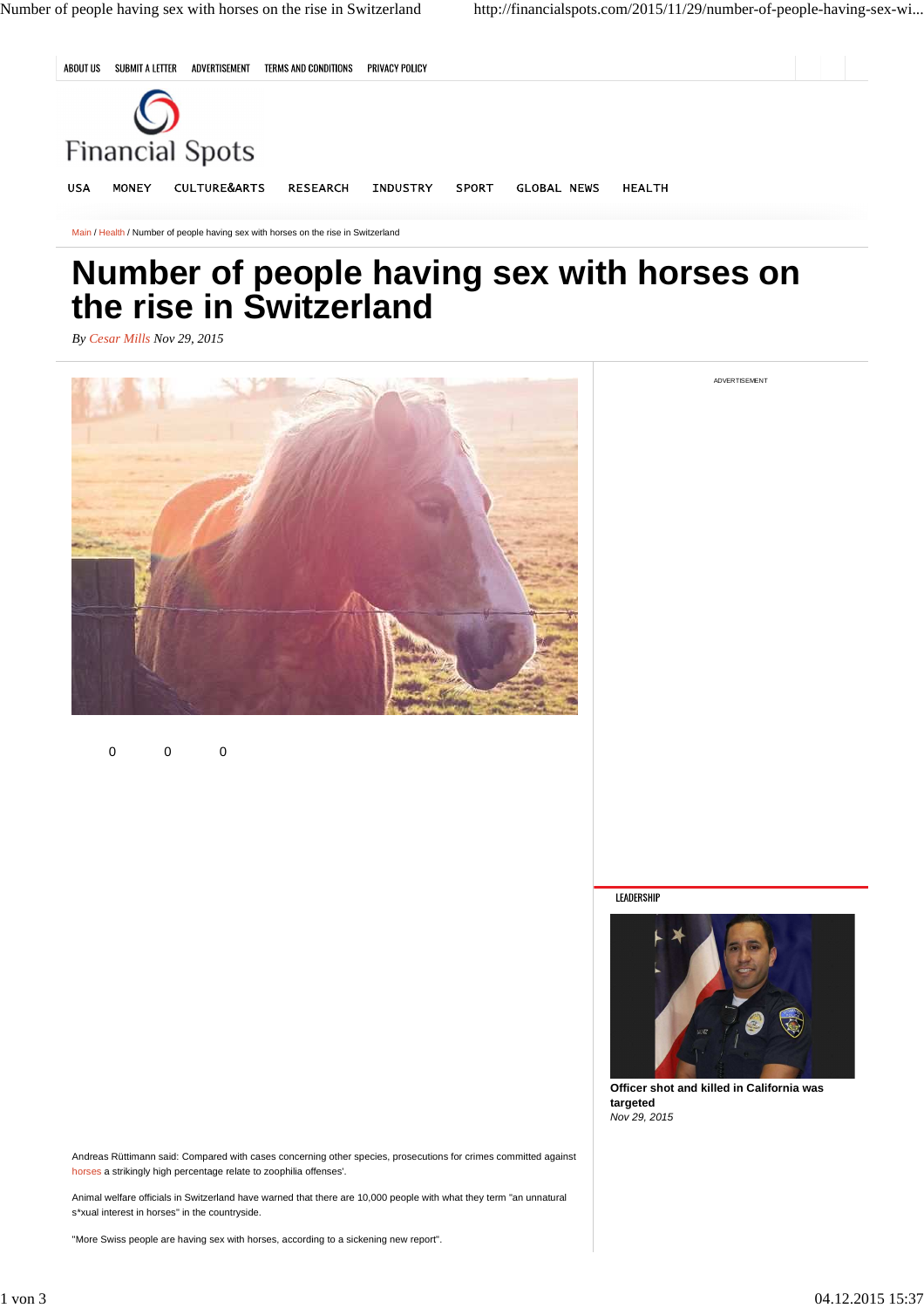ADVERTISEMENT



Main / Health / Number of people having sex with horses on the rise in Switzerland

## **Number of people having sex with horses on the rise in Switzerland**

*By Cesar Mills Nov 29, 2015*



0 0 0

LEADERSHIP



**Officer shot and killed in California was targeted** Nov 29, 2015

Andreas Rüttimann said: Compared with cases concerning other species, prosecutions for crimes committed against horses a strikingly high percentage relate to zoophilia offenses'.

Animal welfare officials in Switzerland have warned that there are 10,000 people with what they term "an unnatural s\*xual interest in horses" in the countryside.

"More Swiss people are having sex with horses, according to a sickening new report".